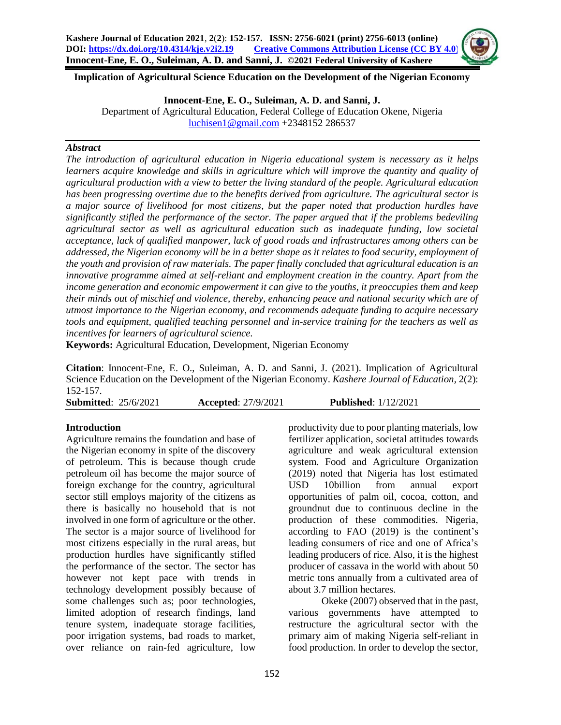**Implication of Agricultural Science Education on the Development of the Nigerian Economy**

**Innocent-Ene, E. O., Suleiman, A. D. and Sanni, J.**

Department of Agricultural Education, Federal College of Education Okene, Nigeria [luchisen1@gmail.com](mailto:luchisen1@gmail.com) +2348152 286537

#### *Abstract*

*The introduction of agricultural education in Nigeria educational system is necessary as it helps learners acquire knowledge and skills in agriculture which will improve the quantity and quality of agricultural production with a view to better the living standard of the people. Agricultural education has been progressing overtime due to the benefits derived from agriculture. The agricultural sector is a major source of livelihood for most citizens, but the paper noted that production hurdles have significantly stifled the performance of the sector. The paper argued that if the problems bedeviling agricultural sector as well as agricultural education such as inadequate funding, low societal acceptance, lack of qualified manpower, lack of good roads and infrastructures among others can be addressed, the Nigerian economy will be in a better shape as it relates to food security, employment of the youth and provision of raw materials. The paper finally concluded that agricultural education is an innovative programme aimed at self-reliant and employment creation in the country. Apart from the income generation and economic empowerment it can give to the youths, it preoccupies them and keep their minds out of mischief and violence, thereby, enhancing peace and national security which are of utmost importance to the Nigerian economy, and recommends adequate funding to acquire necessary tools and equipment, qualified teaching personnel and in-service training for the teachers as well as incentives for learners of agricultural science.* 

**Keywords:** Agricultural Education, Development, Nigerian Economy

**Citation**: Innocent-Ene, E. O., Suleiman, A. D. and Sanni, J. (2021). Implication of Agricultural Science Education on the Development of the Nigerian Economy. *Kashere Journal of Education*, 2(2): 152-157.

# **Introduction**

Agriculture remains the foundation and base of the Nigerian economy in spite of the discovery of petroleum. This is because though crude petroleum oil has become the major source of foreign exchange for the country, agricultural sector still employs majority of the citizens as there is basically no household that is not involved in one form of agriculture or the other. The sector is a major source of livelihood for most citizens especially in the rural areas, but production hurdles have significantly stifled the performance of the sector. The sector has however not kept pace with trends in technology development possibly because of some challenges such as; poor technologies, limited adoption of research findings, land tenure system, inadequate storage facilities, poor irrigation systems, bad roads to market, over reliance on rain-fed agriculture, low

productivity due to poor planting materials, low fertilizer application, societal attitudes towards agriculture and weak agricultural extension system. Food and Agriculture Organization (2019) noted that Nigeria has lost estimated USD 10billion from annual export opportunities of palm oil, cocoa, cotton, and groundnut due to continuous decline in the production of these commodities. Nigeria, according to FAO (2019) is the continent's leading consumers of rice and one of Africa's leading producers of rice. Also, it is the highest producer of cassava in the world with about 50 metric tons annually from a cultivated area of about 3.7 million hectares.

Okeke (2007) observed that in the past, various governments have attempted to restructure the agricultural sector with the primary aim of making Nigeria self-reliant in food production. In order to develop the sector,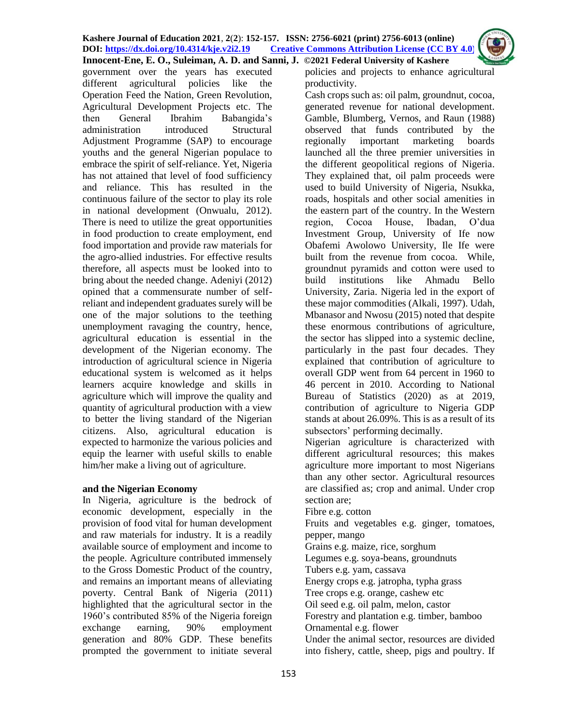**Innocent-Ene, E. O., Suleiman, A. D. and Sanni, J. ©2021 Federal University of Kashere** government over the years has executed different agricultural policies like the Operation Feed the Nation, Green Revolution, Agricultural Development Projects etc. The then General Ibrahim Babangida's administration introduced Structural Adjustment Programme (SAP) to encourage youths and the general Nigerian populace to embrace the spirit of self-reliance. Yet, Nigeria has not attained that level of food sufficiency and reliance. This has resulted in the continuous failure of the sector to play its role in national development (Onwualu, 2012). There is need to utilize the great opportunities in food production to create employment, end food importation and provide raw materials for the agro-allied industries. For effective results therefore, all aspects must be looked into to bring about the needed change. Adeniyi (2012) opined that a commensurate number of selfreliant and independent graduates surely will be one of the major solutions to the teething unemployment ravaging the country, hence, agricultural education is essential in the development of the Nigerian economy. The introduction of agricultural science in Nigeria educational system is welcomed as it helps learners acquire knowledge and skills in agriculture which will improve the quality and quantity of agricultural production with a view to better the living standard of the Nigerian citizens. Also, agricultural education is expected to harmonize the various policies and equip the learner with useful skills to enable

#### **and the Nigerian Economy**

him/her make a living out of agriculture.

In Nigeria, agriculture is the bedrock of economic development, especially in the provision of food vital for human development and raw materials for industry. It is a readily available source of employment and income to the people. Agriculture contributed immensely to the Gross Domestic Product of the country, and remains an important means of alleviating poverty. Central Bank of Nigeria (2011) highlighted that the agricultural sector in the 1960's contributed 85% of the Nigeria foreign exchange earning, 90% employment generation and 80% GDP. These benefits prompted the government to initiate several

policies and projects to enhance agricultural productivity.

Cash crops such as: oil palm, groundnut, cocoa, generated revenue for national development. Gamble, Blumberg, Vernos, and Raun (1988) observed that funds contributed by the regionally important marketing boards launched all the three premier universities in the different geopolitical regions of Nigeria. They explained that, oil palm proceeds were used to build University of Nigeria, Nsukka, roads, hospitals and other social amenities in the eastern part of the country. In the Western region, Cocoa House, Ibadan, O'dua Investment Group, University of Ife now Obafemi Awolowo University, Ile Ife were built from the revenue from cocoa. While, groundnut pyramids and cotton were used to build institutions like Ahmadu Bello University, Zaria. Nigeria led in the export of these major commodities (Alkali, 1997). Udah, Mbanasor and Nwosu (2015) noted that despite these enormous contributions of agriculture, the sector has slipped into a systemic decline, particularly in the past four decades. They explained that contribution of agriculture to overall GDP went from 64 percent in 1960 to 46 percent in 2010. According to National Bureau of Statistics (2020) as at 2019, contribution of agriculture to Nigeria GDP stands at about 26.09%. This is as a result of its subsectors' performing decimally.

Nigerian agriculture is characterized with different agricultural resources; this makes agriculture more important to most Nigerians than any other sector. Agricultural resources are classified as; crop and animal. Under crop section are;

Fibre e.g. cotton

Fruits and vegetables e.g. ginger, tomatoes, pepper, mango

Grains e.g. maize, rice, sorghum

Legumes e.g. soya-beans, groundnuts

Tubers e.g. yam, cassava

Energy crops e.g. jatropha, typha grass

Tree crops e.g. orange, cashew etc

Oil seed e.g. oil palm, melon, castor

Forestry and plantation e.g. timber, bamboo Ornamental e.g. flower

Under the animal sector, resources are divided into fishery, cattle, sheep, pigs and poultry. If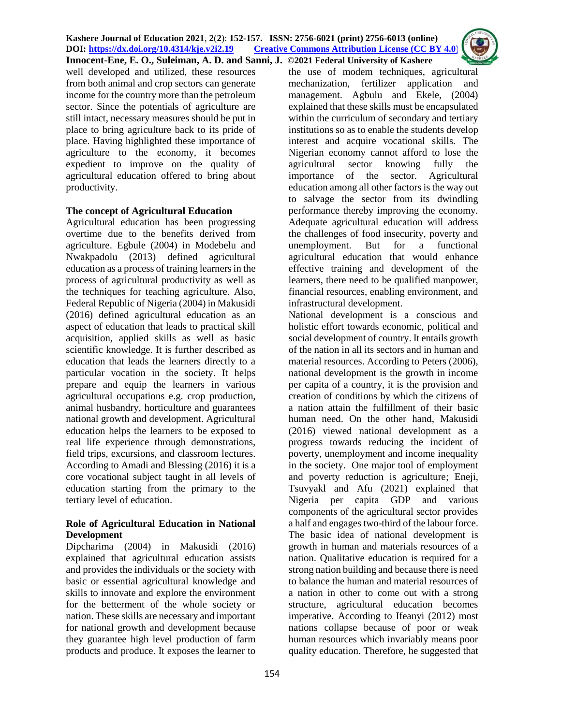

well developed and utilized, these resources from both animal and crop sectors can generate income for the country more than the petroleum sector. Since the potentials of agriculture are still intact, necessary measures should be put in place to bring agriculture back to its pride of place. Having highlighted these importance of agriculture to the economy, it becomes expedient to improve on the quality of agricultural education offered to bring about productivity.

## **The concept of Agricultural Education**

Agricultural education has been progressing overtime due to the benefits derived from agriculture. Egbule (2004) in Modebelu and Nwakpadolu (2013) defined agricultural education as a process of training learners in the process of agricultural productivity as well as the techniques for teaching agriculture. Also, Federal Republic of Nigeria (2004) in Makusidi (2016) defined agricultural education as an aspect of education that leads to practical skill acquisition, applied skills as well as basic scientific knowledge. It is further described as education that leads the learners directly to a particular vocation in the society. It helps prepare and equip the learners in various agricultural occupations e.g. crop production, animal husbandry, horticulture and guarantees national growth and development. Agricultural education helps the learners to be exposed to real life experience through demonstrations, field trips, excursions, and classroom lectures. According to Amadi and Blessing (2016) it is a core vocational subject taught in all levels of education starting from the primary to the tertiary level of education.

## **Role of Agricultural Education in National Development**

Dipcharima (2004) in Makusidi (2016) explained that agricultural education assists and provides the individuals or the society with basic or essential agricultural knowledge and skills to innovate and explore the environment for the betterment of the whole society or nation. These skills are necessary and important for national growth and development because they guarantee high level production of farm products and produce. It exposes the learner to

the use of modem techniques, agricultural mechanization, fertilizer application and management. Agbulu and Ekele, (2004) explained that these skills must be encapsulated within the curriculum of secondary and tertiary institutions so as to enable the students develop interest and acquire vocational skills. The Nigerian economy cannot afford to lose the agricultural sector knowing fully the importance of the sector. Agricultural education among all other factors is the way out to salvage the sector from its dwindling performance thereby improving the economy. Adequate agricultural education will address the challenges of food insecurity, poverty and unemployment. But for a functional agricultural education that would enhance effective training and development of the learners, there need to be qualified manpower, financial resources, enabling environment, and infrastructural development.

National development is a conscious and holistic effort towards economic, political and social development of country. It entails growth of the nation in all its sectors and in human and material resources. According to Peters (2006), national development is the growth in income per capita of a country, it is the provision and creation of conditions by which the citizens of a nation attain the fulfillment of their basic human need. On the other hand, Makusidi (2016) viewed national development as a progress towards reducing the incident of poverty, unemployment and income inequality in the society. One major tool of employment and poverty reduction is agriculture; Eneji, Tsuvyakl and Afu (2021) explained that Nigeria per capita GDP and various components of the agricultural sector provides a half and engages two-third of the labour force. The basic idea of national development is growth in human and materials resources of a nation. Qualitative education is required for a strong nation building and because there is need to balance the human and material resources of a nation in other to come out with a strong structure, agricultural education becomes imperative. According to Ifeanyi (2012) most nations collapse because of poor or weak human resources which invariably means poor quality education. Therefore, he suggested that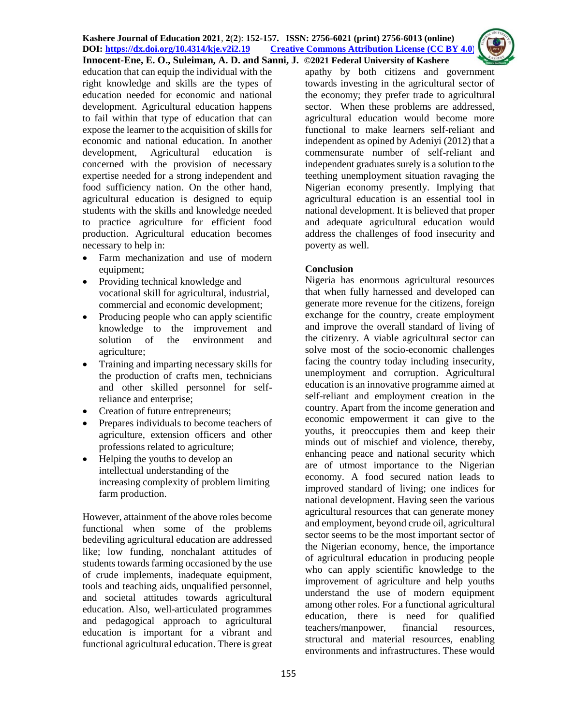education that can equip the individual with the right knowledge and skills are the types of education needed for economic and national development. Agricultural education happens to fail within that type of education that can expose the learner to the acquisition of skills for economic and national education. In another development, Agricultural education is concerned with the provision of necessary expertise needed for a strong independent and food sufficiency nation. On the other hand, agricultural education is designed to equip students with the skills and knowledge needed to practice agriculture for efficient food production. Agricultural education becomes necessary to help in:

- Farm mechanization and use of modern equipment;
- Providing technical knowledge and vocational skill for agricultural, industrial, commercial and economic development;
- Producing people who can apply scientific knowledge to the improvement and solution of the environment and agriculture;
- Training and imparting necessary skills for the production of crafts men, technicians and other skilled personnel for selfreliance and enterprise;
- Creation of future entrepreneurs;
- Prepares individuals to become teachers of agriculture, extension officers and other professions related to agriculture;
- Helping the youths to develop an intellectual understanding of the increasing complexity of problem limiting farm production.

However, attainment of the above roles become functional when some of the problems bedeviling agricultural education are addressed like; low funding, nonchalant attitudes of students towards farming occasioned by the use of crude implements, inadequate equipment, tools and teaching aids, unqualified personnel, and societal attitudes towards agricultural education. Also, well-articulated programmes and pedagogical approach to agricultural education is important for a vibrant and functional agricultural education. There is great apathy by both citizens and government towards investing in the agricultural sector of the economy; they prefer trade to agricultural sector. When these problems are addressed, agricultural education would become more functional to make learners self-reliant and independent as opined by Adeniyi (2012) that a commensurate number of self-reliant and independent graduates surely is a solution to the teething unemployment situation ravaging the Nigerian economy presently. Implying that agricultural education is an essential tool in national development. It is believed that proper and adequate agricultural education would address the challenges of food insecurity and poverty as well.

# **Conclusion**

Nigeria has enormous agricultural resources that when fully harnessed and developed can generate more revenue for the citizens, foreign exchange for the country, create employment and improve the overall standard of living of the citizenry. A viable agricultural sector can solve most of the socio-economic challenges facing the country today including insecurity, unemployment and corruption. Agricultural education is an innovative programme aimed at self-reliant and employment creation in the country. Apart from the income generation and economic empowerment it can give to the youths, it preoccupies them and keep their minds out of mischief and violence, thereby, enhancing peace and national security which are of utmost importance to the Nigerian economy. A food secured nation leads to improved standard of living; one indices for national development. Having seen the various agricultural resources that can generate money and employment, beyond crude oil, agricultural sector seems to be the most important sector of the Nigerian economy, hence, the importance of agricultural education in producing people who can apply scientific knowledge to the improvement of agriculture and help youths understand the use of modern equipment among other roles. For a functional agricultural education, there is need for qualified teachers/manpower, financial resources, structural and material resources, enabling environments and infrastructures. These would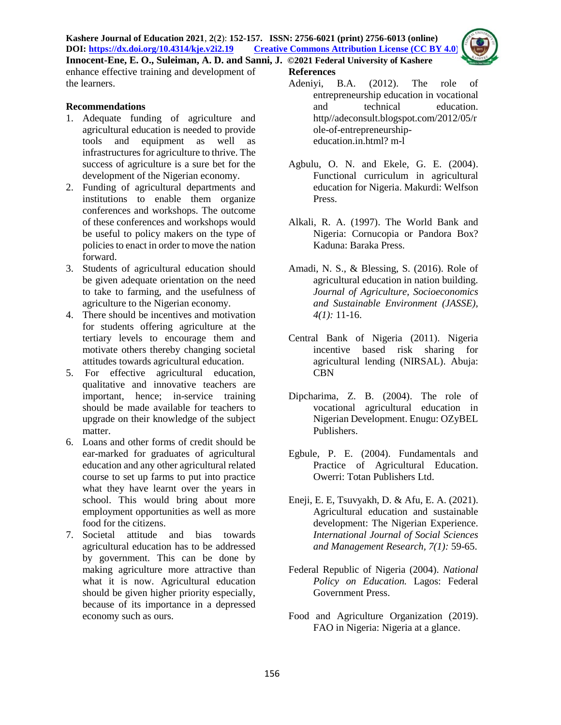

enhance effective training and development of the learners.

#### **Recommendations**

- 1. Adequate funding of agriculture and agricultural education is needed to provide tools and equipment as well as infrastructures for agriculture to thrive. The success of agriculture is a sure bet for the development of the Nigerian economy.
- 2. Funding of agricultural departments and institutions to enable them organize conferences and workshops. The outcome of these conferences and workshops would be useful to policy makers on the type of policies to enact in order to move the nation forward.
- 3. Students of agricultural education should be given adequate orientation on the need to take to farming, and the usefulness of agriculture to the Nigerian economy.
- 4. There should be incentives and motivation for students offering agriculture at the tertiary levels to encourage them and motivate others thereby changing societal attitudes towards agricultural education.
- 5. For effective agricultural education, qualitative and innovative teachers are important, hence; in-service training should be made available for teachers to upgrade on their knowledge of the subject matter.
- 6. Loans and other forms of credit should be ear-marked for graduates of agricultural education and any other agricultural related course to set up farms to put into practice what they have learnt over the years in school. This would bring about more employment opportunities as well as more food for the citizens.
- 7. Societal attitude and bias towards agricultural education has to be addressed by government. This can be done by making agriculture more attractive than what it is now. Agricultural education should be given higher priority especially, because of its importance in a depressed economy such as ours.
- **References** 
	- Adeniyi, B.A. (2012). The role of entrepreneurship education in vocational and technical education. http//adeconsult.blogspot.com/2012/05/r ole-of-entrepreneurshipeducation.in.html? m-l
	- Agbulu, O. N. and Ekele, G. E. (2004). Functional curriculum in agricultural education for Nigeria. Makurdi: Welfson Press.
	- Alkali, R. A. (1997). The World Bank and Nigeria: Cornucopia or Pandora Box? Kaduna: Baraka Press.
	- Amadi, N. S., & Blessing, S. (2016). Role of agricultural education in nation building. *Journal of Agriculture, Socioeconomics and Sustainable Environment (JASSE), 4(1):* 11-16.
	- Central Bank of Nigeria (2011). Nigeria incentive based risk sharing for agricultural lending (NIRSAL). Abuja: CBN
	- Dipcharima, Z. B. (2004). The role of vocational agricultural education in Nigerian Development. Enugu: OZyBEL Publishers.
	- Egbule, P. E. (2004). Fundamentals and Practice of Agricultural Education. Owerri: Totan Publishers Ltd.
	- Eneji, E. E, Tsuvyakh, D. & Afu, E. A. (2021). Agricultural education and sustainable development: The Nigerian Experience. *International Journal of Social Sciences and Management Research, 7(1):* 59-65.
	- Federal Republic of Nigeria (2004). *National Policy on Education.* Lagos: Federal Government Press.
	- Food and Agriculture Organization (2019). FAO in Nigeria: Nigeria at a glance.